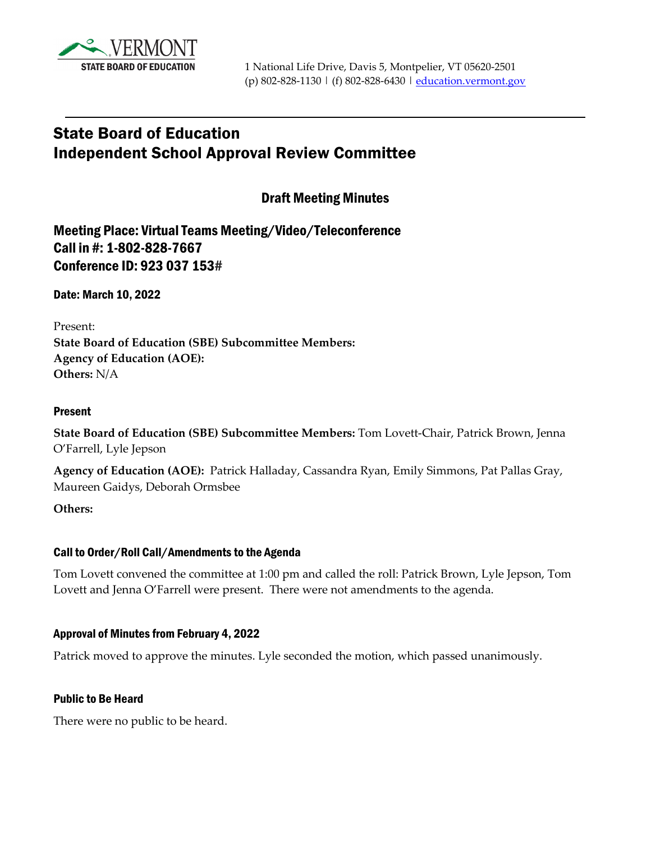

# State Board of Education Independent School Approval Review Committee

Draft Meeting Minutes

Meeting Place: Virtual Teams Meeting/Video/Teleconference Call in #: 1-802-828-7667 Conference ID: 923 037 153#

Date: March 10, 2022

Present:

**State Board of Education (SBE) Subcommittee Members: Agency of Education (AOE): Others:** N/A

### Present

**State Board of Education (SBE) Subcommittee Members:** Tom Lovett-Chair, Patrick Brown, Jenna O'Farrell, Lyle Jepson

**Agency of Education (AOE):** Patrick Halladay, Cassandra Ryan, Emily Simmons, Pat Pallas Gray, Maureen Gaidys, Deborah Ormsbee

**Others:** 

#### Call to Order/Roll Call/Amendments to the Agenda

Tom Lovett convened the committee at 1:00 pm and called the roll: Patrick Brown, Lyle Jepson, Tom Lovett and Jenna O'Farrell were present. There were not amendments to the agenda.

## Approval of Minutes from February 4, 2022

Patrick moved to approve the minutes. Lyle seconded the motion, which passed unanimously.

#### Public to Be Heard

There were no public to be heard.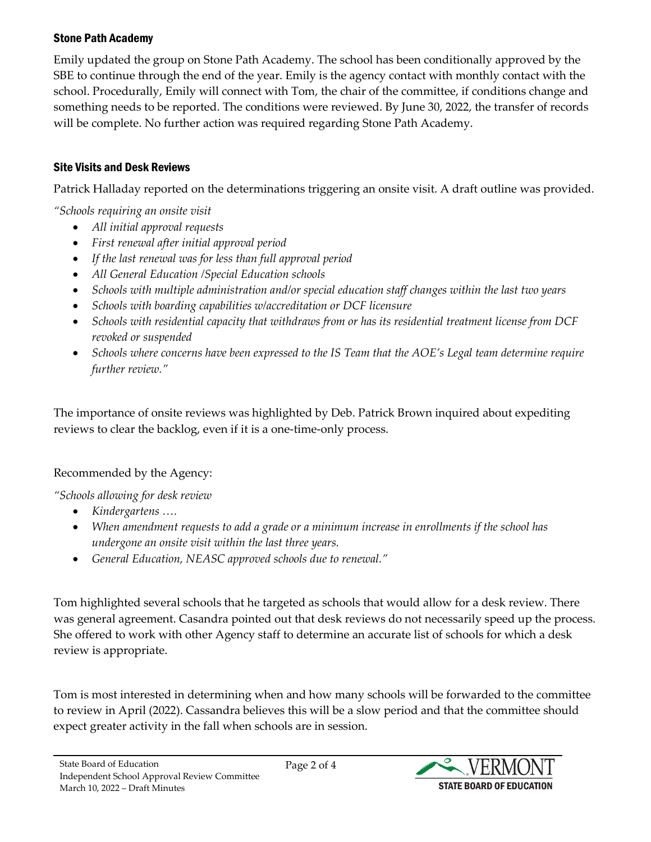## Stone Path Academy

Emily updated the group on Stone Path Academy. The school has been conditionally approved by the SBE to continue through the end of the year. Emily is the agency contact with monthly contact with the school. Procedurally, Emily will connect with Tom, the chair of the committee, if conditions change and something needs to be reported. The conditions were reviewed. By June 30, 2022, the transfer of records will be complete. No further action was required regarding Stone Path Academy.

# Site Visits and Desk Reviews

Patrick Halladay reported on the determinations triggering an onsite visit. A draft outline was provided.

*"Schools requiring an onsite visit*

- *All initial approval requests*
- *First renewal after initial approval period*
- *If the last renewal was for less than full approval period*
- *All General Education /Special Education schools*
- *Schools with multiple administration and/or special education staff changes within the last two years*
- *Schools with boarding capabilities w/accreditation or DCF licensure*
- *Schools with residential capacity that withdraws from or has its residential treatment license from DCF revoked or suspended*
- *Schools where concerns have been expressed to the IS Team that the AOE's Legal team determine require further review."*

The importance of onsite reviews was highlighted by Deb. Patrick Brown inquired about expediting reviews to clear the backlog, even if it is a one-time-only process.

# Recommended by the Agency:

*"Schools allowing for desk review*

- *Kindergartens ….*
- *When amendment requests to add a grade or a minimum increase in enrollments if the school has undergone an onsite visit within the last three years.*
- *General Education, NEASC approved schools due to renewal."*

Tom highlighted several schools that he targeted as schools that would allow for a desk review. There was general agreement. Casandra pointed out that desk reviews do not necessarily speed up the process. She offered to work with other Agency staff to determine an accurate list of schools for which a desk review is appropriate.

Tom is most interested in determining when and how many schools will be forwarded to the committee to review in April (2022). Cassandra believes this will be a slow period and that the committee should expect greater activity in the fall when schools are in session.

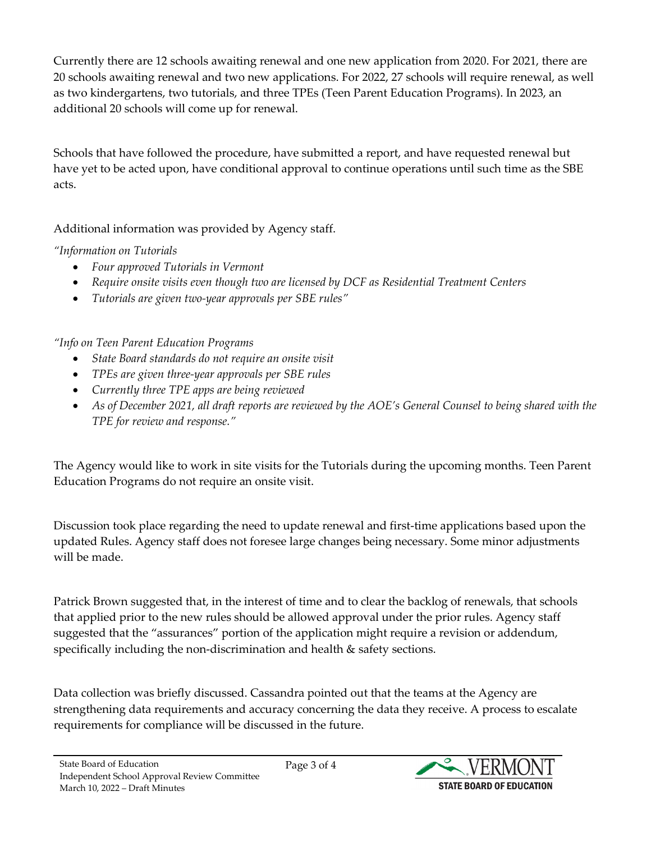Currently there are 12 schools awaiting renewal and one new application from 2020. For 2021, there are 20 schools awaiting renewal and two new applications. For 2022, 27 schools will require renewal, as well as two kindergartens, two tutorials, and three TPEs (Teen Parent Education Programs). In 2023, an additional 20 schools will come up for renewal.

Schools that have followed the procedure, have submitted a report, and have requested renewal but have yet to be acted upon, have conditional approval to continue operations until such time as the SBE acts.

Additional information was provided by Agency staff.

*"Information on Tutorials*

- *Four approved Tutorials in Vermont*
- *Require onsite visits even though two are licensed by DCF as Residential Treatment Centers*
- *Tutorials are given two-year approvals per SBE rules"*

*"Info on Teen Parent Education Programs*

- *State Board standards do not require an onsite visit*
- *TPEs are given three-year approvals per SBE rules*
- *Currently three TPE apps are being reviewed*
- *As of December 2021, all draft reports are reviewed by the AOE's General Counsel to being shared with the TPE for review and response."*

The Agency would like to work in site visits for the Tutorials during the upcoming months. Teen Parent Education Programs do not require an onsite visit.

Discussion took place regarding the need to update renewal and first-time applications based upon the updated Rules. Agency staff does not foresee large changes being necessary. Some minor adjustments will be made.

Patrick Brown suggested that, in the interest of time and to clear the backlog of renewals, that schools that applied prior to the new rules should be allowed approval under the prior rules. Agency staff suggested that the "assurances" portion of the application might require a revision or addendum, specifically including the non-discrimination and health & safety sections.

Data collection was briefly discussed. Cassandra pointed out that the teams at the Agency are strengthening data requirements and accuracy concerning the data they receive. A process to escalate requirements for compliance will be discussed in the future.